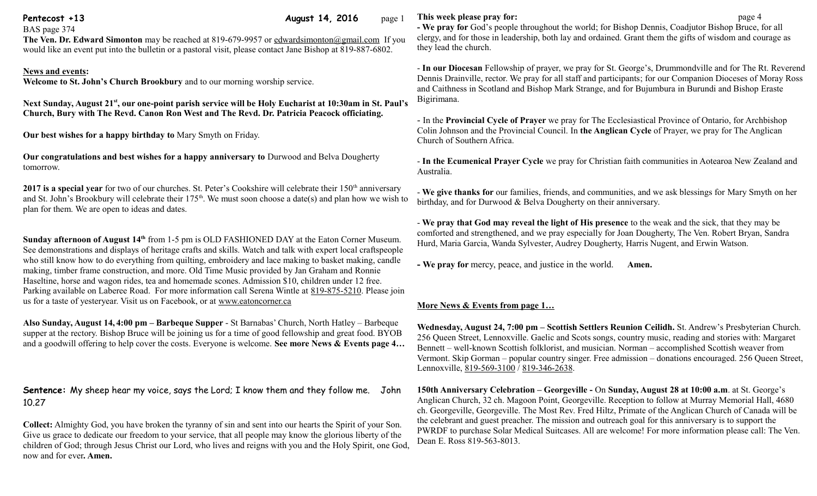**Pentecost +13 August 14, 2016** page 1

BAS page 374

**The Ven. Dr. Edward Simonton** may be reached at 819-679-9957 or [edwardsimonton@gmail.com](mailto:edwardsimonton@gmail.com) If you would like an event put into the bulletin or a pastoral visit, please contact Jane Bishop at 819-887-6802.

## **News and events:**

**Welcome to St. John's Church Brookbury** and to our morning worship service.

**Next Sunday, August 21st , our one-point parish service will be Holy Eucharist at 10:30am in St. Paul's Church, Bury with The Revd. Canon Ron West and The Revd. Dr. Patricia Peacock officiating.**

**Our best wishes for a happy birthday to** Mary Smyth on Friday.

**Our congratulations and best wishes for a happy anniversary to** Durwood and Belva Dougherty tomorrow.

**2017 is a special year** for two of our churches. St. Peter's Cookshire will celebrate their 150<sup>th</sup> anniversary and St. John's Brookbury will celebrate their 175<sup>th</sup>. We must soon choose a date(s) and plan how we wish to plan for them. We are open to ideas and dates.

**Sunday afternoon of August 14th** from 1-5 pm is OLD FASHIONED DAY at the Eaton Corner Museum. See demonstrations and displays of heritage crafts and skills. Watch and talk with expert local craftspeople who still know how to do everything from quilting, embroidery and lace making to basket making, candle making, timber frame construction, and more. Old Time Music provided by Jan Graham and Ronnie Haseltine, horse and wagon rides, tea and homemade scones. Admission \$10, children under 12 free. Parking available on Laberee Road. For more information call Serena Wintle at [819-875-5210.](tel:819-875-5210) Please join us for a taste of yesteryear. Visit us on Facebook, or at [www.eatoncorner.ca](http://www.eatoncorner.ca/) 

**Also Sunday, August 14, 4:00 pm – Barbeque Supper** - St Barnabas' Church, North Hatley – Barbeque supper at the rectory. Bishop Bruce will be joining us for a time of good fellowship and great food. BYOB and a goodwill offering to help cover the costs. Everyone is welcome. **See more News & Events page 4…**

**Sentence:** My sheep hear my voice, says the Lord; I know them and they follow me. John 10.27

**Collect:** Almighty God, you have broken the tyranny of sin and sent into our hearts the Spirit of your Son. Give us grace to dedicate our freedom to your service, that all people may know the glorious liberty of the children of God; through Jesus Christ our Lord, who lives and reigns with you and the Holy Spirit, one God, now and for ever**. Amen.**

## **This week please pray for: page 4**

**- We pray for** God's people throughout the world; for Bishop Dennis, Coadjutor Bishop Bruce, for all clergy, and for those in leadership, both lay and ordained. Grant them the gifts of wisdom and courage as they lead the church.

- **In our Diocesan** Fellowship of prayer, we pray for St. George's, Drummondville and for The Rt. Reverend Dennis Drainville, rector. We pray for all staff and participants; for our Companion Dioceses of Moray Ross and Caithness in Scotland and Bishop Mark Strange, and for Bujumbura in Burundi and Bishop Eraste Bigirimana.

- In the **Provincial Cycle of Prayer** we pray for The Ecclesiastical Province of Ontario, for Archbishop Colin Johnson and the Provincial Council. In **the Anglican Cycle** of Prayer, we pray for The Anglican Church of Southern Africa.

- **In the Ecumenical Prayer Cycle** we pray for Christian faith communities in Aotearoa New Zealand and Australia.

- **We give thanks for** our families, friends, and communities, and we ask blessings for Mary Smyth on her birthday, and for Durwood & Belva Dougherty on their anniversary.

- **We pray that God may reveal the light of His presence** to the weak and the sick, that they may be comforted and strengthened, and we pray especially for Joan Dougherty, The Ven. Robert Bryan, Sandra Hurd, Maria Garcia, Wanda Sylvester, Audrey Dougherty, Harris Nugent, and Erwin Watson.

**- We pray for** mercy, peace, and justice in the world. **Amen.**

## **More News & Events from page 1…**

**Wednesday, August 24, 7:00 pm – Scottish Settlers Reunion Ceilidh.** St. Andrew's Presbyterian Church. 256 Queen Street, Lennoxville. Gaelic and Scots songs, country music, reading and stories with: Margaret Bennett – well-known Scottish folklorist, and musician. Norman – accomplished Scottish weaver from Vermont. Skip Gorman – popular country singer. Free admission – donations encouraged. 256 Queen Street, Lennoxville, [819-569-3100](tel:819-569-3100) / [819-346-2638.](tel:819-346-2638)

**150th Anniversary Celebration – Georgeville -** On **Sunday, August 28 at 10:00 a.m**. at St. George's Anglican Church, 32 ch. Magoon Point, Georgeville. Reception to follow at Murray Memorial Hall, 4680 ch. Georgeville, Georgeville. The Most Rev. Fred Hiltz, Primate of the Anglican Church of Canada will be the celebrant and guest preacher. The mission and outreach goal for this anniversary is to support the PWRDF to purchase Solar Medical Suitcases. All are welcome! For more information please call: The Ven. Dean E. Ross 819-563-8013.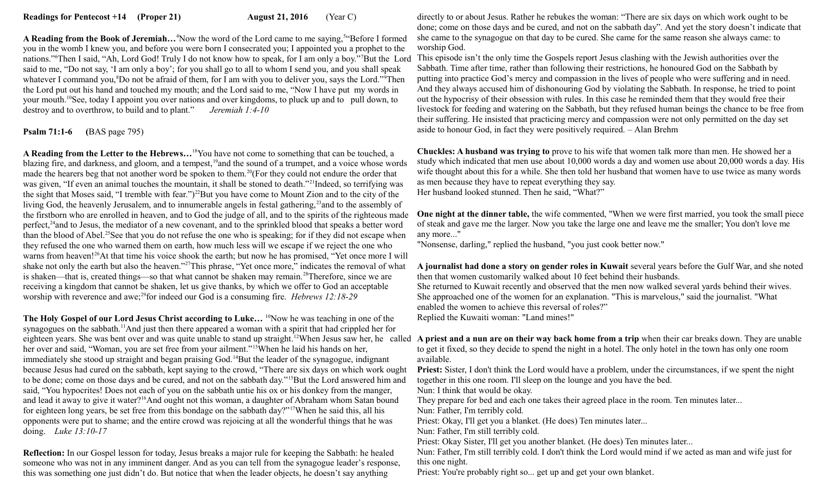A Reading from the Book of Jeremiah...<sup>4</sup>Now the word of the Lord came to me saying,<sup>5"</sup>Before I formed you in the womb I knew you, and before you were born I consecrated you; I appointed you a prophet to the nations."<sup>6</sup>Then I said, "Ah, Lord God! Truly I do not know how to speak, for I am only a boy."<sup>7</sup>But the Lord said to me, "Do not say, 'I am only a boy'; for you shall go to all to whom I send you, and you shall speak whatever I command you,<sup>8</sup>Do not be afraid of them, for I am with you to deliver you, says the Lord."<sup>9</sup>Then the Lord put out his hand and touched my mouth; and the Lord said to me, "Now I have put my words in your mouth.<sup>10</sup>See, today I appoint you over nations and over kingdoms, to pluck up and to pull down, to destroy and to overthrow, to build and to plant." *Jeremiah 1:4-10* 

**Psalm 71:1-6 (**BAS page 795)

**A Reading from the Letter to the Hebrews…**<sup>18</sup>You have not come to something that can be touched, a blazing fire, and darkness, and gloom, and a tempest,<sup>19</sup>and the sound of a trumpet, and a voice whose words made the hearers beg that not another word be spoken to them.<sup>20</sup>(For they could not endure the order that was given, "If even an animal touches the mountain, it shall be stoned to death."<sup>21</sup>Indeed, so terrifying was the sight that Moses said, "I tremble with fear.")<sup>22</sup>But you have come to Mount Zion and to the city of the living God, the heavenly Jerusalem, and to innumerable angels in festal gathering,<sup>23</sup> and to the assembly of the firstborn who are enrolled in heaven, and to God the judge of all, and to the spirits of the righteous made perfect,<sup>24</sup>and to Jesus, the mediator of a new covenant, and to the sprinkled blood that speaks a better word than the blood of Abel.<sup>25</sup>See that you do not refuse the one who is speaking; for if they did not escape when they refused the one who warned them on earth, how much less will we escape if we reject the one who warns from heaven!<sup>26</sup>At that time his voice shook the earth; but now he has promised, "Yet once more I will shake not only the earth but also the heaven."<sup>27</sup>This phrase, "Yet once more," indicates the removal of what is shaken—that is, created things—so that what cannot be shaken may remain.<sup>28</sup>Therefore, since we are receiving a kingdom that cannot be shaken, let us give thanks, by which we offer to God an acceptable worship with reverence and awe;<sup>29</sup>for indeed our God is a consuming fire. *Hebrews 12:18-29* 

The Holy Gospel of our Lord Jesus Christ according to Luke... <sup>10</sup>Now he was teaching in one of the synagogues on the sabbath.<sup>11</sup>And just then there appeared a woman with a spirit that had crippled her for her over and said, "Woman, you are set free from your ailment."<sup>13</sup>When he laid his hands on her, immediately she stood up straight and began praising God.<sup>14</sup>But the leader of the synagogue, indignant because Jesus had cured on the sabbath, kept saying to the crowd, "There are six days on which work ought to be done; come on those days and be cured, and not on the sabbath day."<sup>15</sup>But the Lord answered him and said, "You hypocrites! Does not each of you on the sabbath untie his ox or his donkey from the manger, and lead it away to give it water?<sup>16</sup>And ought not this woman, a daughter of Abraham whom Satan bound for eighteen long years, be set free from this bondage on the sabbath day?"<sup>17</sup>When he said this, all his opponents were put to shame; and the entire crowd was rejoicing at all the wonderful things that he was doing. *Luke 13:10-17*

**Reflection:** In our Gospel lesson for today, Jesus breaks a major rule for keeping the Sabbath: he healed someone who was not in any imminent danger. And as you can tell from the synagogue leader's response, this was something one just didn't do. But notice that when the leader objects, he doesn't say anything

directly to or about Jesus. Rather he rebukes the woman: "There are six days on which work ought to be done; come on those days and be cured, and not on the sabbath day". And yet the story doesn't indicate that she came to the synagogue on that day to be cured. She came for the same reason she always came: to worship God.

This episode isn't the only time the Gospels report Jesus clashing with the Jewish authorities over the Sabbath. Time after time, rather than following their restrictions, he honoured God on the Sabbath by putting into practice God's mercy and compassion in the lives of people who were suffering and in need. And they always accused him of dishonouring God by violating the Sabbath. In response, he tried to point out the hypocrisy of their obsession with rules. In this case he reminded them that they would free their livestock for feeding and watering on the Sabbath, but they refused human beings the chance to be free from their suffering. He insisted that practicing mercy and compassion were not only permitted on the day set aside to honour God, in fact they were positively required. – Alan Brehm

**Chuckles: A husband was trying to** prove to his wife that women talk more than men. He showed her a study which indicated that men use about 10,000 words a day and women use about 20,000 words a day. His wife thought about this for a while. She then told her husband that women have to use twice as many words as men because they have to repeat everything they say. Her husband looked stunned. Then he said, "What?"

**One night at the dinner table,** the wife commented, "When we were first married, you took the small piece of steak and gave me the larger. Now you take the large one and leave me the smaller; You don't love me any more..."

"Nonsense, darling," replied the husband, "you just cook better now."

**A journalist had done a story on gender roles in Kuwait** several years before the Gulf War, and she noted then that women customarily walked about 10 feet behind their husbands.

She returned to Kuwait recently and observed that the men now walked several yards behind their wives. She approached one of the women for an explanation. "This is marvelous," said the journalist. "What enabled the women to achieve this reversal of roles?" Replied the Kuwaiti woman: "Land mines!"

eighteen years. She was bent over and was quite unable to stand up straight.<sup>12</sup>When Jesus saw her, he called **A priest and a nun are on their way back home from a trip** when their car breaks down. They are unable to get it fixed, so they decide to spend the night in a hotel. The only hotel in the town has only one room available.

> Priest: Sister, I don't think the Lord would have a problem, under the circumstances, if we spent the night together in this one room. I'll sleep on the lounge and you have the bed.

Nun: I think that would be okay.

They prepare for bed and each one takes their agreed place in the room. Ten minutes later...

Nun: Father, I'm terribly cold.

Priest: Okay, I'll get you a blanket. (He does) Ten minutes later...

Nun: Father, I'm still terribly cold.

Priest: Okay Sister, I'll get you another blanket. (He does) Ten minutes later...

Nun: Father, I'm still terribly cold. I don't think the Lord would mind if we acted as man and wife just for this one night.

Priest: You're probably right so... get up and get your own blanket.